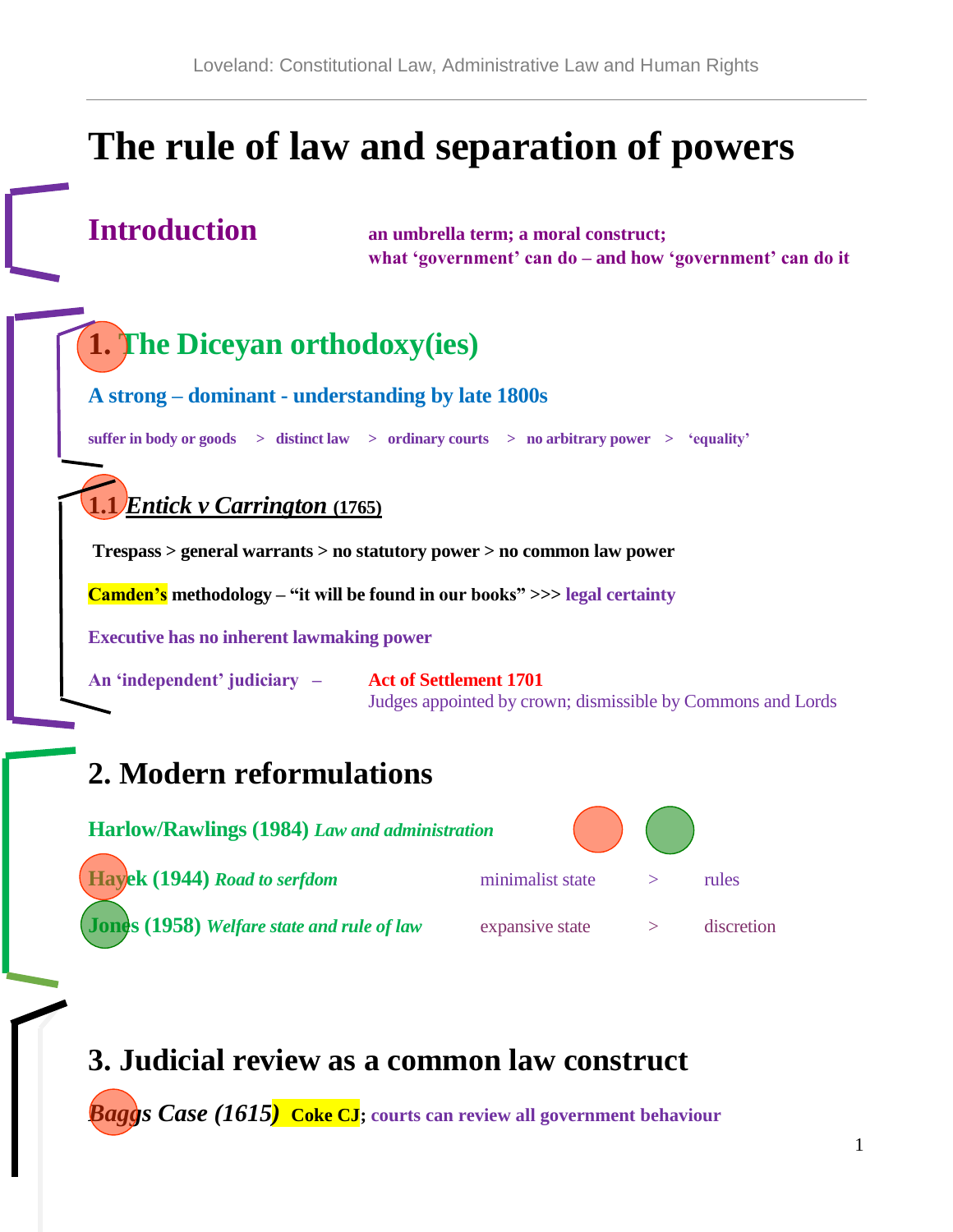# **The rule of law and separation of powers**

**Introduction an umbrella term; a moral construct; what 'government' can do – and how 'government' can do it**

## **1. The Diceyan orthodoxy(ies)**

**A strong – dominant - understanding by late 1800s**

**suffer in body or goods > distinct law > ordinary courts > no arbitrary power > 'equality'**

#### **1.1** *Entick v Carrington* **(1765)**

**Trespass > general warrants > no statutory power > no common law power**

**Camden's methodology – "it will be found in our books" >>> legal certainty**

**Executive has no inherent lawmaking power**

**An 'independent' judiciary – Act of Settlement 1701**

Judges appointed by crown; dismissible by Commons and Lords

## **2. Modern reformulations**

| Harlow/Rawlings (1984) Law and administration     |                  |            |
|---------------------------------------------------|------------------|------------|
| Hayek (1944) Road to serfdom                      | minimalist state | rules      |
| <b>Jones (1958)</b> Welfare state and rule of law | expansive state  | discretion |

### **3. Judicial review as a common law construct**

*Baggs Case (1615)* **Coke CJ; courts can review all government behaviour**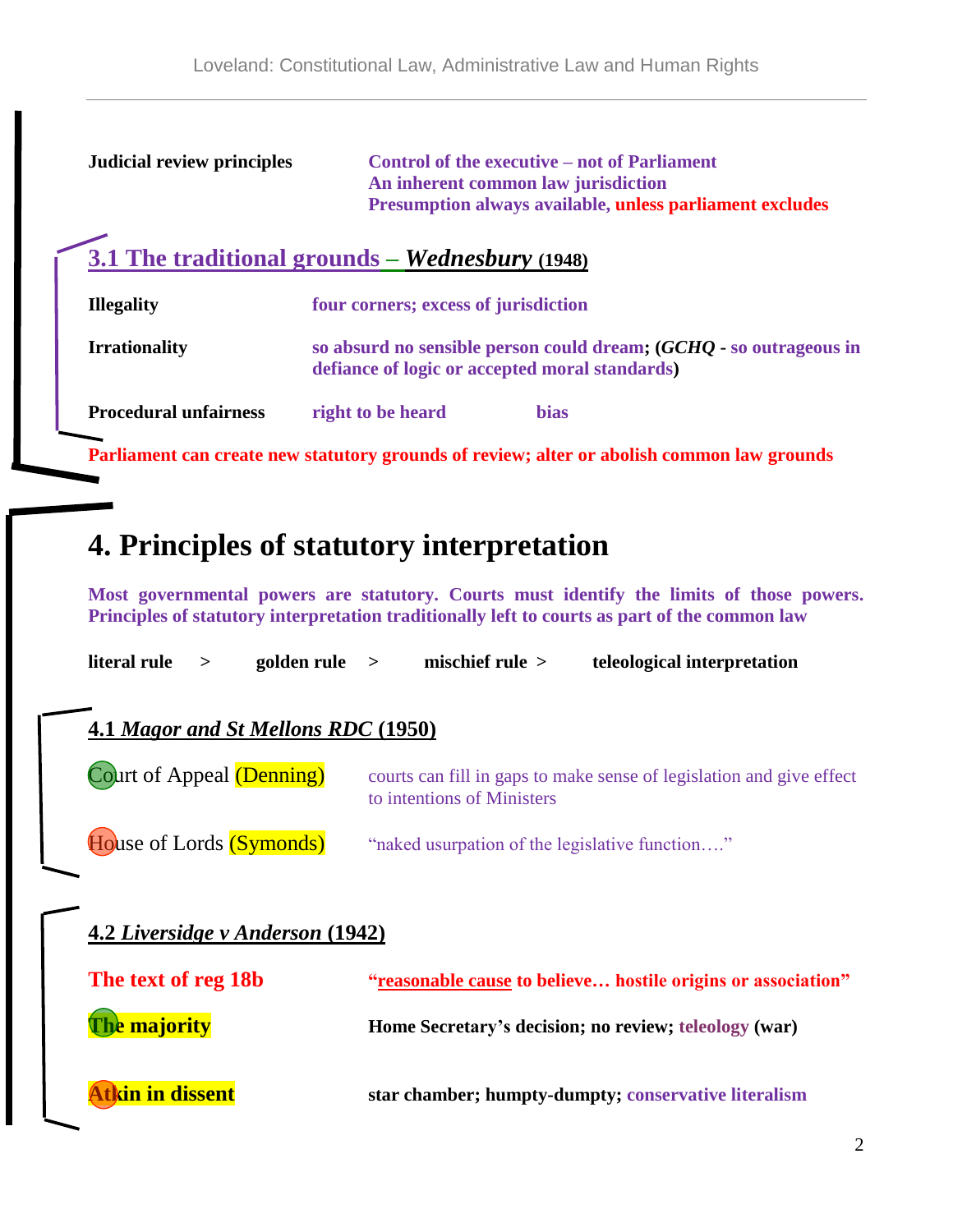| <b>Judicial review principles</b> | <b>Control of the executive – not of Parliament</b><br>An inherent common law jurisdiction<br>Presumption always available, unless parliament excludes |  |  |  |
|-----------------------------------|--------------------------------------------------------------------------------------------------------------------------------------------------------|--|--|--|
|                                   | 3.1 The traditional grounds – <i>Wednesbury</i> $(1948)$                                                                                               |  |  |  |
| <b>Illegality</b>                 | four corners; excess of jurisdiction                                                                                                                   |  |  |  |
| <b>Irrationality</b>              | so absurd no sensible person could dream; (GCHQ - so outrageous in<br>defiance of logic or accepted moral standards)                                   |  |  |  |
| <b>Procedural unfairness</b>      | right to be heard<br><b>bias</b>                                                                                                                       |  |  |  |
|                                   | Parliament can create new statutory grounds of review; alter or abolish common law grounds                                                             |  |  |  |

## **4. Principles of statutory interpretation**

**Most governmental powers are statutory. Courts must identify the limits of those powers. Principles of statutory interpretation traditionally left to courts as part of the common law**

| literal rule                        | $\geq$ | $\text{golden rule}$ >           |  | mischief rule $>$                              | teleological interpretation                                          |
|-------------------------------------|--------|----------------------------------|--|------------------------------------------------|----------------------------------------------------------------------|
| 4.1 Magor and St Mellons RDC (1950) |        |                                  |  |                                                |                                                                      |
| Court of Appeal (Denning)           |        |                                  |  | to intentions of Ministers                     | courts can fill in gaps to make sense of legislation and give effect |
| House of Lords (Symonds)            |        |                                  |  | "naked usurpation of the legislative function" |                                                                      |
|                                     |        | 4.2 Liversidge v Anderson (1942) |  |                                                |                                                                      |
| The text of reg 18b                 |        |                                  |  |                                                | "reasonable cause to believe hostile origins or association"         |
| The majority                        |        |                                  |  |                                                | Home Secretary's decision; no review; teleology (war)                |
|                                     |        |                                  |  |                                                |                                                                      |

**Atkin in dissent star chamber; humpty-dumpty; conservative literalism**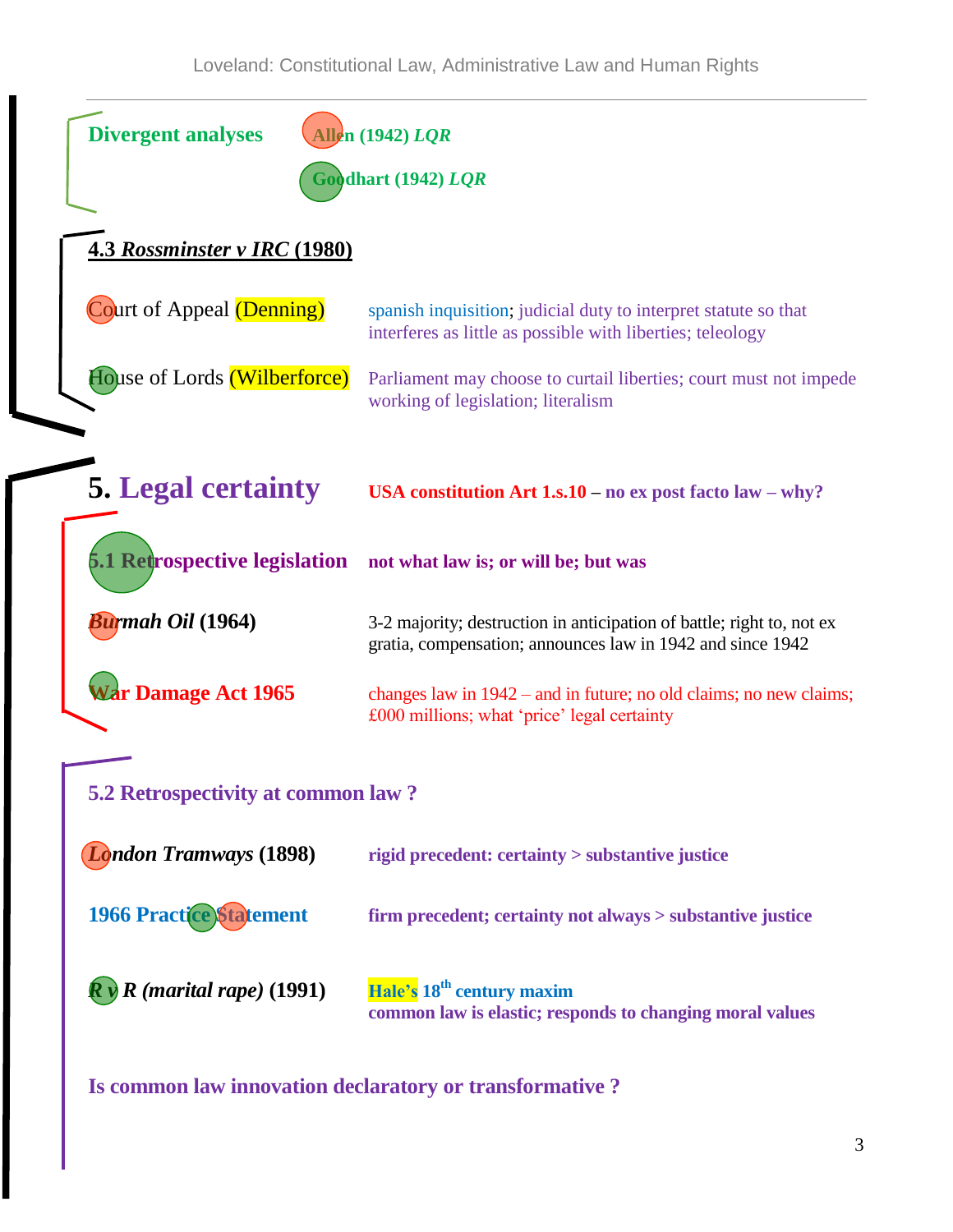| <b>Divergent analyses</b><br><b>Allen</b> (1942) LQR |                                                                                                                                     |  |  |  |
|------------------------------------------------------|-------------------------------------------------------------------------------------------------------------------------------------|--|--|--|
| Goodhart (1942) LQR                                  |                                                                                                                                     |  |  |  |
| <b>4.3 Rossminster v IRC (1980)</b>                  |                                                                                                                                     |  |  |  |
| Court of Appeal (Denning)                            | spanish inquisition; judicial duty to interpret statute so that<br>interferes as little as possible with liberties; teleology       |  |  |  |
| House of Lords (Wilberforce)                         | Parliament may choose to curtail liberties; court must not impede<br>working of legislation; literalism                             |  |  |  |
| <b>5. Legal certainty</b>                            | USA constitution Art $1s.10 - no$ ex post facto law $-$ why?                                                                        |  |  |  |
|                                                      | 5.1 Retrospective legislation not what law is; or will be; but was                                                                  |  |  |  |
| Burmah Oil (1964)                                    | 3-2 majority; destruction in anticipation of battle; right to, not ex<br>gratia, compensation; announces law in 1942 and since 1942 |  |  |  |
| War Damage Act 1965                                  | changes law in $1942$ – and in future; no old claims; no new claims;<br>£000 millions; what 'price' legal certainty                 |  |  |  |
| 5.2 Retrospectivity at common law?                   |                                                                                                                                     |  |  |  |
| <b>London Tramways (1898)</b>                        | rigid precedent: certainty > substantive justice                                                                                    |  |  |  |
| <b>1966 Practice Statement</b>                       | firm precedent; certainty not always > substantive justice                                                                          |  |  |  |
| $R$ (marital rape) (1991)                            | Hale's 18 <sup>th</sup> century maxim<br>common law is elastic; responds to changing moral values                                   |  |  |  |

**Is common law innovation declaratory or transformative ?**